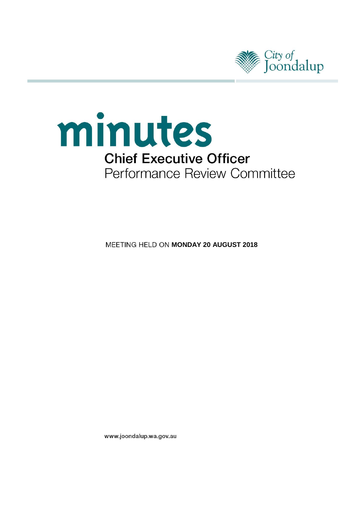



**MEETING HELD ON MONDAY 20 AUGUST 2018** 

www.joondalup.wa.gov.au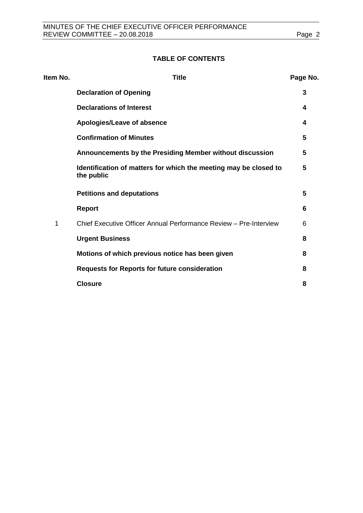# **TABLE OF CONTENTS**

| Item No. | <b>Title</b>                                                                   | Page No. |
|----------|--------------------------------------------------------------------------------|----------|
|          | <b>Declaration of Opening</b>                                                  | 3        |
|          | <b>Declarations of Interest</b>                                                | 4        |
|          | Apologies/Leave of absence                                                     | 4        |
|          | <b>Confirmation of Minutes</b>                                                 | 5        |
|          | Announcements by the Presiding Member without discussion                       | 5        |
|          | Identification of matters for which the meeting may be closed to<br>the public | 5        |
|          | <b>Petitions and deputations</b>                                               | 5        |
|          | <b>Report</b>                                                                  | 6        |
| 1        | Chief Executive Officer Annual Performance Review - Pre-Interview              | 6        |
|          | <b>Urgent Business</b>                                                         | 8        |
|          | Motions of which previous notice has been given                                | 8        |
|          | <b>Requests for Reports for future consideration</b>                           | 8        |
|          | <b>Closure</b>                                                                 | 8        |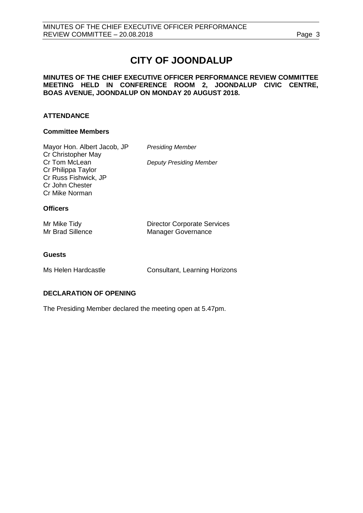# **CITY OF JOONDALUP**

#### **MINUTES OF THE CHIEF EXECUTIVE OFFICER PERFORMANCE REVIEW COMMITTEE MEETING HELD IN CONFERENCE ROOM 2, JOONDALUP CIVIC CENTRE, BOAS AVENUE, JOONDALUP ON MONDAY 20 AUGUST 2018.**

### **ATTENDANCE**

#### **Committee Members**

| Mayor Hon. Albert Jacob, JP<br>Cr Christopher May                                                | <b>Presiding Member</b>                                         |
|--------------------------------------------------------------------------------------------------|-----------------------------------------------------------------|
| Cr Tom McLean<br>Cr Philippa Taylor<br>Cr Russ Fishwick, JP<br>Cr John Chester<br>Cr Mike Norman | Deputy Presiding Member                                         |
| <b>Officers</b>                                                                                  |                                                                 |
| Mr Mike Tidy<br>Mr Brad Sillence                                                                 | <b>Director Corporate Services</b><br><b>Manager Governance</b> |
|                                                                                                  |                                                                 |

#### **Guests**

Ms Helen Hardcastle **Consultant, Learning Horizons** 

#### <span id="page-2-0"></span>**DECLARATION OF OPENING**

The Presiding Member declared the meeting open at 5.47pm.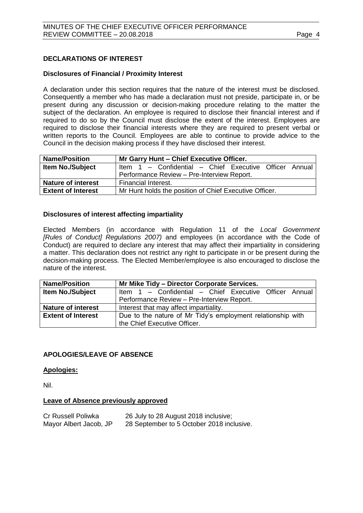### <span id="page-3-0"></span>**DECLARATIONS OF INTEREST**

#### **Disclosures of Financial / Proximity Interest**

A declaration under this section requires that the nature of the interest must be disclosed. Consequently a member who has made a declaration must not preside, participate in, or be present during any discussion or decision-making procedure relating to the matter the subject of the declaration. An employee is required to disclose their financial interest and if required to do so by the Council must disclose the extent of the interest. Employees are required to disclose their financial interests where they are required to present verbal or written reports to the Council. Employees are able to continue to provide advice to the Council in the decision making process if they have disclosed their interest.

| <b>Name/Position</b>      | Mr Garry Hunt - Chief Executive Officer.               |  |  |  |
|---------------------------|--------------------------------------------------------|--|--|--|
| <b>Item No./Subject</b>   | Item 1 - Confidential - Chief Executive Officer Annual |  |  |  |
|                           | Performance Review - Pre-Interview Report.             |  |  |  |
| <b>Nature of interest</b> | Financial Interest.                                    |  |  |  |
| <b>Extent of Interest</b> | Mr Hunt holds the position of Chief Executive Officer. |  |  |  |

#### **Disclosures of interest affecting impartiality**

Elected Members (in accordance with Regulation 11 of the *Local Government [Rules of Conduct] Regulations 2007)* and employees (in accordance with the Code of Conduct) are required to declare any interest that may affect their impartiality in considering a matter. This declaration does not restrict any right to participate in or be present during the decision-making process. The Elected Member/employee is also encouraged to disclose the nature of the interest.

| <b>Name/Position</b>      | Mr Mike Tidy - Director Corporate Services.                 |  |  |
|---------------------------|-------------------------------------------------------------|--|--|
| <b>Item No./Subject</b>   | Item 1 - Confidential - Chief Executive Officer Annual      |  |  |
|                           | Performance Review - Pre-Interview Report.                  |  |  |
| <b>Nature of interest</b> | Interest that may affect impartiality.                      |  |  |
| <b>Extent of Interest</b> | Due to the nature of Mr Tidy's employment relationship with |  |  |
|                           | the Chief Executive Officer.                                |  |  |

#### <span id="page-3-1"></span>**APOLOGIES/LEAVE OF ABSENCE**

#### **Apologies:**

Nil.

#### **Leave of Absence previously approved**

<span id="page-3-2"></span>

| Cr Russell Poliwka     | 26 July to 28 August 2018 inclusive;      |
|------------------------|-------------------------------------------|
| Mayor Albert Jacob, JP | 28 September to 5 October 2018 inclusive. |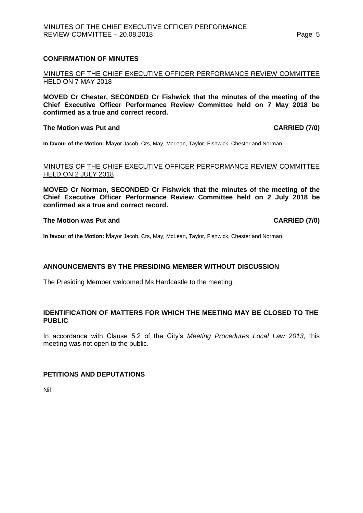#### **CONFIRMATION OF MINUTES**

MINUTES OF THE CHIEF EXECUTIVE OFFICER PERFORMANCE REVIEW COMMITTEE HELD ON 7 MAY 2018

**MOVED Cr Chester, SECONDED Cr Fishwick that the minutes of the meeting of the Chief Executive Officer Performance Review Committee held on 7 May 2018 be confirmed as a true and correct record.**

#### **The Motion was Put and CARRIED (7/0)**

**In favour of the Motion:** Mayor Jacob, Crs, May, McLean, Taylor, Fishwick, Chester and Norman.

#### MINUTES OF THE CHIEF EXECUTIVE OFFICER PERFORMANCE REVIEW COMMITTEE HELD ON 2 JULY 2018

**MOVED Cr Norman, SECONDED Cr Fishwick that the minutes of the meeting of the Chief Executive Officer Performance Review Committee held on 2 July 2018 be confirmed as a true and correct record.**

#### **The Motion was Put and CARRIED (7/0)**

**In favour of the Motion:** Mayor Jacob, Crs, May, McLean, Taylor, Fishwick, Chester and Norman.

#### **ANNOUNCEMENTS BY THE PRESIDING MEMBER WITHOUT DISCUSSION**

The Presiding Member welcomed Ms Hardcastle to the meeting.

#### <span id="page-4-0"></span>**IDENTIFICATION OF MATTERS FOR WHICH THE MEETING MAY BE CLOSED TO THE PUBLIC**

In accordance with Clause 5.2 of the City's *Meeting Procedures Local Law 2013*, this meeting was not open to the public.

#### <span id="page-4-1"></span>**PETITIONS AND DEPUTATIONS**

Nil.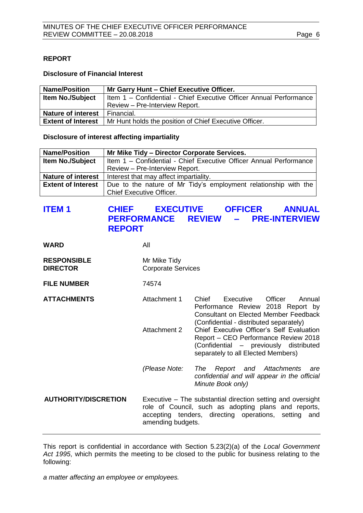#### <span id="page-5-0"></span>**REPORT**

#### **Disclosure of Financial Interest**

| <b>Name/Position</b>      | Mr Garry Hunt - Chief Executive Officer.                           |  |
|---------------------------|--------------------------------------------------------------------|--|
| <b>Item No./Subject</b>   | Item 1 - Confidential - Chief Executive Officer Annual Performance |  |
|                           | Review - Pre-Interview Report.                                     |  |
| <b>Nature of interest</b> | Financial.                                                         |  |
| <b>Extent of Interest</b> | Mr Hunt holds the position of Chief Executive Officer.             |  |

#### **Disclosure of interest affecting impartiality**

| <b>Name/Position</b>      | Mr Mike Tidy - Director Corporate Services.                        |  |  |
|---------------------------|--------------------------------------------------------------------|--|--|
| <b>Item No./Subject</b>   | Item 1 - Confidential - Chief Executive Officer Annual Performance |  |  |
|                           | Review - Pre-Interview Report.                                     |  |  |
| <b>Nature of interest</b> | Interest that may affect impartiality.                             |  |  |
| <b>Extent of Interest</b> | Due to the nature of Mr Tidy's employment relationship with the    |  |  |
|                           | <b>Chief Executive Officer.</b>                                    |  |  |

# <span id="page-5-1"></span>**ITEM 1 CHIEF EXECUTIVE OFFICER ANNUAL PERFORMANCE REVIEW – PRE-INTERVIEW REPORT**

**WARD** All

| <b>RESPONSIBLE</b> | Mr Mike Tidy              |
|--------------------|---------------------------|
| <b>DIRECTOR</b>    | <b>Corporate Services</b> |

**FILE NUMBER** 74574

- 
- **ATTACHMENTS** Attachment 1 Chief Executive Officer Annual Performance Review 2018 Report by Consultant on Elected Member Feedback (Confidential - distributed separately) Attachment 2 Chief Executive Officer's Self Evaluation Report – CEO Performance Review 2018 (Confidential – previously distributed separately to all Elected Members)
	- *(Please Note: The Report and Attachments are confidential and will appear in the official Minute Book only)*
- **AUTHORITY/DISCRETION** Executive The substantial direction setting and oversight role of Council, such as adopting plans and reports, accepting tenders, directing operations, setting and amending budgets.

This report is confidential in accordance with Section 5.23(2)(a) of the *Local Government Act 1995*, which permits the meeting to be closed to the public for business relating to the following:

*a matter affecting an employee or employees.*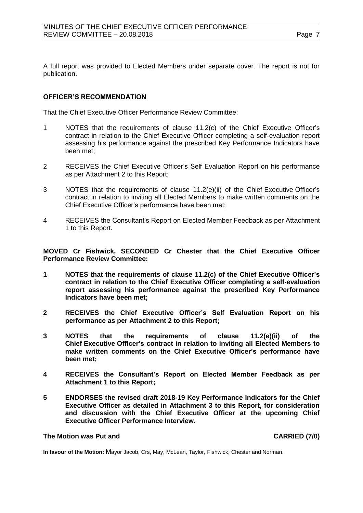A full report was provided to Elected Members under separate cover. The report is not for publication.

#### **OFFICER'S RECOMMENDATION**

That the Chief Executive Officer Performance Review Committee:

- 1 NOTES that the requirements of clause 11.2(c) of the Chief Executive Officer's contract in relation to the Chief Executive Officer completing a self-evaluation report assessing his performance against the prescribed Key Performance Indicators have been met;
- 2 RECEIVES the Chief Executive Officer's Self Evaluation Report on his performance as per Attachment 2 to this Report;
- 3 NOTES that the requirements of clause 11.2(e)(ii) of the Chief Executive Officer's contract in relation to inviting all Elected Members to make written comments on the Chief Executive Officer's performance have been met;
- 4 RECEIVES the Consultant's Report on Elected Member Feedback as per Attachment 1 to this Report.

**MOVED Cr Fishwick, SECONDED Cr Chester that the Chief Executive Officer Performance Review Committee:**

- **1 NOTES that the requirements of clause 11.2(c) of the Chief Executive Officer's contract in relation to the Chief Executive Officer completing a self-evaluation report assessing his performance against the prescribed Key Performance Indicators have been met;**
- **2 RECEIVES the Chief Executive Officer's Self Evaluation Report on his performance as per Attachment 2 to this Report;**
- **3 NOTES that the requirements of clause 11.2(e)(ii) of the Chief Executive Officer's contract in relation to inviting all Elected Members to make written comments on the Chief Executive Officer's performance have been met;**
- **4 RECEIVES the Consultant's Report on Elected Member Feedback as per Attachment 1 to this Report;**
- **5 ENDORSES the revised draft 2018-19 Key Performance Indicators for the Chief Executive Officer as detailed in Attachment 3 to this Report, for consideration and discussion with the Chief Executive Officer at the upcoming Chief Executive Officer Performance Interview.**

#### **The Motion was Put and CARRIED (7/0)**

<span id="page-6-0"></span>**In favour of the Motion:** Mayor Jacob, Crs, May, McLean, Taylor, Fishwick, Chester and Norman.